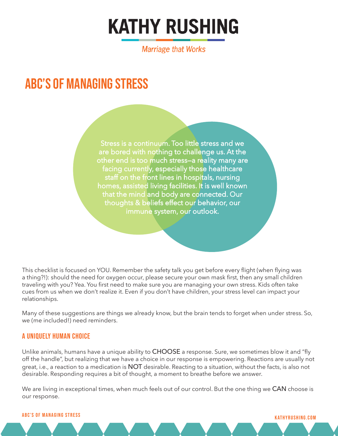# **KATHY RUSHING**

**Marriage that Works** 

# ABC's of Managing Stress

Stress is a continuum. Too little stress and we are bored with nothing to challenge us. At the other end is too much stress—a reality many are facing currently, especially those healthcare staff on the front lines in hospitals, nursing homes, assisted living facilities. It is well known that the mind and body are connected. Our thoughts & beliefs effect our behavior, our immune system, our outlook.

This checklist is focused on YOU. Remember the safety talk you get before every flight (when flying was a thing?!): should the need for oxygen occur, please secure your own mask first, then any small children traveling with you? Yea. You first need to make sure you are managing your own stress. Kids often take cues from us when we don't realize it. Even if you don't have children, your stress level can impact your relationships.

Many of these suggestions are things we already know, but the brain tends to forget when under stress. So, we (me included!) need reminders.

#### A Uniquely Human Choice

Unlike animals, humans have a unique ability to CHOOSE a response. Sure, we sometimes blow it and "fly off the handle", but realizing that we have a choice in our response is empowering. Reactions are usually not great, i.e., a reaction to a medication is NOT desirable. Reacting to a situation, without the facts, is also not desirable. Responding requires a bit of thought, a moment to breathe before we answer.

We are living in exceptional times, when much feels out of our control. But the one thing we CAN choose is our response.

### kathyrushing.com ABC's of Managing Stress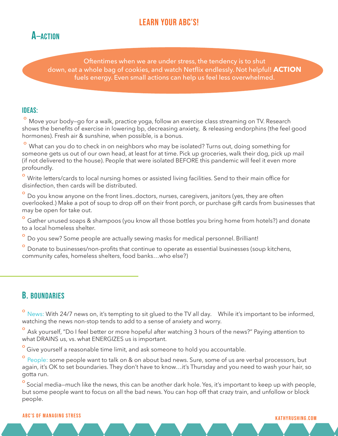# LEARN YOUR ABC'S!



Oftentimes when we are under stress, the tendency is to shut down, eat a whole bag of cookies, and watch Netflix endlessly. Not helpful! **ACTION** fuels energy. Even small actions can help us feel less overwhelmed.

#### Ideas:

Move your body-go for a walk, practice yoga, follow an exercise class streaming on TV. Research shows the benefits of exercise in lowering bp, decreasing anxiety, & releasing endorphins (the feel good hormones). Fresh air & sunshine, when possible, is a bonus.

º What can you do to check in on neighbors who may be isolated? Turns out, doing something for someone gets us out of our own head, at least for at time. Pick up groceries, walk their dog, pick up mail (if not delivered to the house). People that were isolated BEFORE this pandemic will feel it even more profoundly.

<sup>o</sup> Write letters/cards to local nursing homes or assisted living facilities. Send to their main office for disinfection, then cards will be distributed.

<sup>o</sup> Do you know anyone on the front lines..doctors, nurses, caregivers, janitors (yes, they are often overlooked.) Make a pot of soup to drop off on their front porch, or purchase gift cards from businesses that may be open for take out.

<sup>o</sup> Gather unused soaps & shampoos (you know all those bottles you bring home from hotels?) and donate to a local homeless shelter.

Do you sew? Some people are actually sewing masks for medical personnel. Brilliant!

Donate to businesses/non-profits that continue to operate as essential businesses (soup kitchens, community cafes, homeless shelters, food banks…who else?)

## **B. BOUNDARIES**

º News: With 24/7 news on, it's tempting to sit glued to the TV all day. While it's important to be informed, watching the news non-stop tends to add to a sense of anxiety and worry.

<sup>o</sup> Ask yourself, "Do I feel better or more hopeful after watching 3 hours of the news?" Paying attention to what DRAINS us, vs. what ENERGIZES us is important.

Give yourself a reasonable time limit, and ask someone to hold you accountable.

<sup>o</sup> People: some people want to talk on & on about bad news. Sure, some of us are verbal processors, but again, it's OK to set boundaries. They don't have to know…it's Thursday and you need to wash your hair, so gotta run.

<sup>o</sup> Social media–much like the news, this can be another dark hole. Yes, it's important to keep up with people, but some people want to focus on all the bad news. You can hop off that crazy train, and unfollow or block people.

#### kathyrushing.com ABC's of Managing Stress